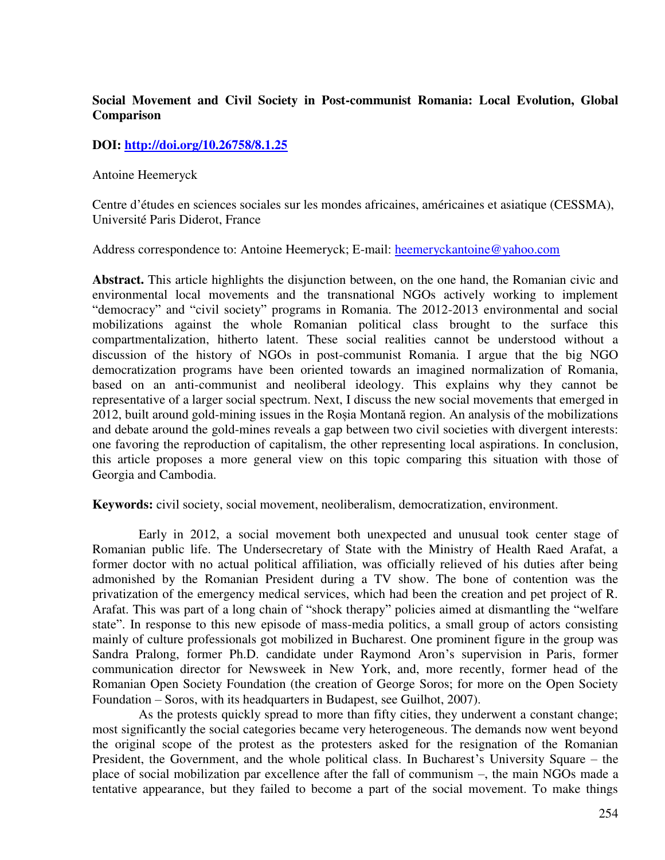# **Social Movement and Civil Society in Post-communist Romania: Local Evolution, Global Comparison**

## **DOI:<http://doi.org/10.26758/8.1.25>**

Antoine Heemeryck

Centre d'études en sciences sociales sur les mondes africaines, américaines et asiatique (CESSMA), Université Paris Diderot, France

Address correspondence to: Antoine Heemeryck; E-mail: heemeryckantoine@yahoo.com

**Abstract.** This article highlights the disjunction between, on the one hand, the Romanian civic and environmental local movements and the transnational NGOs actively working to implement "democracy" and "civil society" programs in Romania. The 2012-2013 environmental and social mobilizations against the whole Romanian political class brought to the surface this compartmentalization, hitherto latent. These social realities cannot be understood without a discussion of the history of NGOs in post-communist Romania. I argue that the big NGO democratization programs have been oriented towards an imagined normalization of Romania, based on an anti-communist and neoliberal ideology. This explains why they cannot be representative of a larger social spectrum. Next, I discuss the new social movements that emerged in 2012, built around gold-mining issues in the Roșia Montană region. An analysis of the mobilizations and debate around the gold-mines reveals a gap between two civil societies with divergent interests: one favoring the reproduction of capitalism, the other representing local aspirations. In conclusion, this article proposes a more general view on this topic comparing this situation with those of Georgia and Cambodia.

**Keywords:** civil society, social movement, neoliberalism, democratization, environment.

Early in 2012, a social movement both unexpected and unusual took center stage of Romanian public life. The Undersecretary of State with the Ministry of Health Raed Arafat, a former doctor with no actual political affiliation, was officially relieved of his duties after being admonished by the Romanian President during a TV show. The bone of contention was the privatization of the emergency medical services, which had been the creation and pet project of R. Arafat. This was part of a long chain of "shock therapy" policies aimed at dismantling the "welfare state". In response to this new episode of mass-media politics, a small group of actors consisting mainly of culture professionals got mobilized in Bucharest. One prominent figure in the group was Sandra Pralong, former Ph.D. candidate under Raymond Aron's supervision in Paris, former communication director for Newsweek in New York, and, more recently, former head of the Romanian Open Society Foundation (the creation of George Soros; for more on the Open Society Foundation – Soros, with its headquarters in Budapest, see Guilhot, 2007).

As the protests quickly spread to more than fifty cities, they underwent a constant change; most significantly the social categories became very heterogeneous. The demands now went beyond the original scope of the protest as the protesters asked for the resignation of the Romanian President, the Government, and the whole political class. In Bucharest's University Square – the place of social mobilization par excellence after the fall of communism –, the main NGOs made a tentative appearance, but they failed to become a part of the social movement. To make things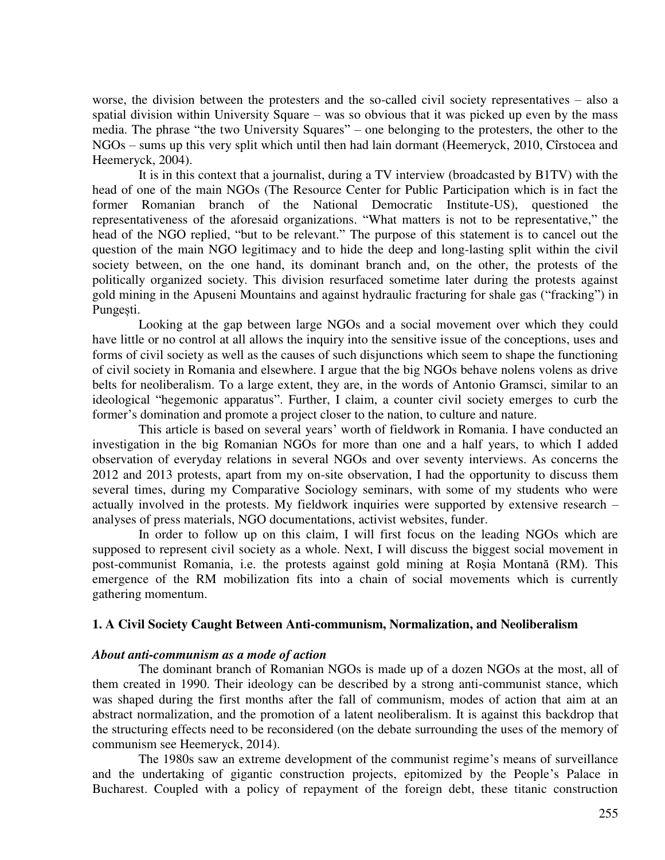worse, the division between the protesters and the so-called civil society representatives – also a spatial division within University Square – was so obvious that it was picked up even by the mass media. The phrase "the two University Squares" – one belonging to the protesters, the other to the NGOs – sums up this very split which until then had lain dormant (Heemeryck, 2010, Cîrstocea and Heemeryck, 2004).

It is in this context that a journalist, during a TV interview (broadcasted by B1TV) with the head of one of the main NGOs (The Resource Center for Public Participation which is in fact the former Romanian branch of the National Democratic Institute-US), questioned the representativeness of the aforesaid organizations. "What matters is not to be representative," the head of the NGO replied, "but to be relevant." The purpose of this statement is to cancel out the question of the main NGO legitimacy and to hide the deep and long-lasting split within the civil society between, on the one hand, its dominant branch and, on the other, the protests of the politically organized society. This division resurfaced sometime later during the protests against gold mining in the Apuseni Mountains and against hydraulic fracturing for shale gas ("fracking") in Pungești.

Looking at the gap between large NGOs and a social movement over which they could have little or no control at all allows the inquiry into the sensitive issue of the conceptions, uses and forms of civil society as well as the causes of such disjunctions which seem to shape the functioning of civil society in Romania and elsewhere. I argue that the big NGOs behave nolens volens as drive belts for neoliberalism. To a large extent, they are, in the words of Antonio Gramsci, similar to an ideological "hegemonic apparatus". Further, I claim, a counter civil society emerges to curb the former's domination and promote a project closer to the nation, to culture and nature.

This article is based on several years' worth of fieldwork in Romania. I have conducted an investigation in the big Romanian NGOs for more than one and a half years, to which I added observation of everyday relations in several NGOs and over seventy interviews. As concerns the 2012 and 2013 protests, apart from my on-site observation, I had the opportunity to discuss them several times, during my Comparative Sociology seminars, with some of my students who were actually involved in the protests. My fieldwork inquiries were supported by extensive research – analyses of press materials, NGO documentations, activist websites, funder.

In order to follow up on this claim, I will first focus on the leading NGOs which are supposed to represent civil society as a whole. Next, I will discuss the biggest social movement in post-communist Romania, i.e. the protests against gold mining at Roșia Montană (RM). This emergence of the RM mobilization fits into a chain of social movements which is currently gathering momentum.

### **1. A Civil Society Caught Between Anti-communism, Normalization, and Neoliberalism**

### *About anti-communism as a mode of action*

The dominant branch of Romanian NGOs is made up of a dozen NGOs at the most, all of them created in 1990. Their ideology can be described by a strong anti-communist stance, which was shaped during the first months after the fall of communism, modes of action that aim at an abstract normalization, and the promotion of a latent neoliberalism. It is against this backdrop that the structuring effects need to be reconsidered (on the debate surrounding the uses of the memory of communism see Heemeryck, 2014).

The 1980s saw an extreme development of the communist regime's means of surveillance and the undertaking of gigantic construction projects, epitomized by the People's Palace in Bucharest. Coupled with a policy of repayment of the foreign debt, these titanic construction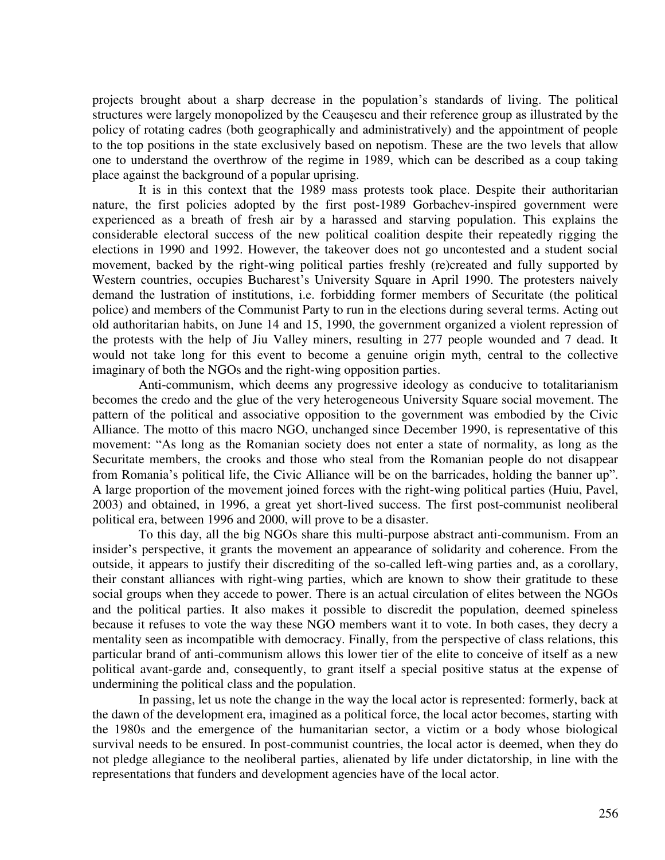projects brought about a sharp decrease in the population's standards of living. The political structures were largely monopolized by the Ceaușescu and their reference group as illustrated by the policy of rotating cadres (both geographically and administratively) and the appointment of people to the top positions in the state exclusively based on nepotism. These are the two levels that allow one to understand the overthrow of the regime in 1989, which can be described as a coup taking place against the background of a popular uprising.

It is in this context that the 1989 mass protests took place. Despite their authoritarian nature, the first policies adopted by the first post-1989 Gorbachev-inspired government were experienced as a breath of fresh air by a harassed and starving population. This explains the considerable electoral success of the new political coalition despite their repeatedly rigging the elections in 1990 and 1992. However, the takeover does not go uncontested and a student social movement, backed by the right-wing political parties freshly (re)created and fully supported by Western countries, occupies Bucharest's University Square in April 1990. The protesters naively demand the lustration of institutions, i.e. forbidding former members of Securitate (the political police) and members of the Communist Party to run in the elections during several terms. Acting out old authoritarian habits, on June 14 and 15, 1990, the government organized a violent repression of the protests with the help of Jiu Valley miners, resulting in 277 people wounded and 7 dead. It would not take long for this event to become a genuine origin myth, central to the collective imaginary of both the NGOs and the right-wing opposition parties.

Anti-communism, which deems any progressive ideology as conducive to totalitarianism becomes the credo and the glue of the very heterogeneous University Square social movement. The pattern of the political and associative opposition to the government was embodied by the Civic Alliance. The motto of this macro NGO, unchanged since December 1990, is representative of this movement: "As long as the Romanian society does not enter a state of normality, as long as the Securitate members, the crooks and those who steal from the Romanian people do not disappear from Romania's political life, the Civic Alliance will be on the barricades, holding the banner up". A large proportion of the movement joined forces with the right-wing political parties (Huiu, Pavel, 2003) and obtained, in 1996, a great yet short-lived success. The first post-communist neoliberal political era, between 1996 and 2000, will prove to be a disaster.

To this day, all the big NGOs share this multi-purpose abstract anti-communism. From an insider's perspective, it grants the movement an appearance of solidarity and coherence. From the outside, it appears to justify their discrediting of the so-called left-wing parties and, as a corollary, their constant alliances with right-wing parties, which are known to show their gratitude to these social groups when they accede to power. There is an actual circulation of elites between the NGOs and the political parties. It also makes it possible to discredit the population, deemed spineless because it refuses to vote the way these NGO members want it to vote. In both cases, they decry a mentality seen as incompatible with democracy. Finally, from the perspective of class relations, this particular brand of anti-communism allows this lower tier of the elite to conceive of itself as a new political avant-garde and, consequently, to grant itself a special positive status at the expense of undermining the political class and the population.

In passing, let us note the change in the way the local actor is represented: formerly, back at the dawn of the development era, imagined as a political force, the local actor becomes, starting with the 1980s and the emergence of the humanitarian sector, a victim or a body whose biological survival needs to be ensured. In post-communist countries, the local actor is deemed, when they do not pledge allegiance to the neoliberal parties, alienated by life under dictatorship, in line with the representations that funders and development agencies have of the local actor.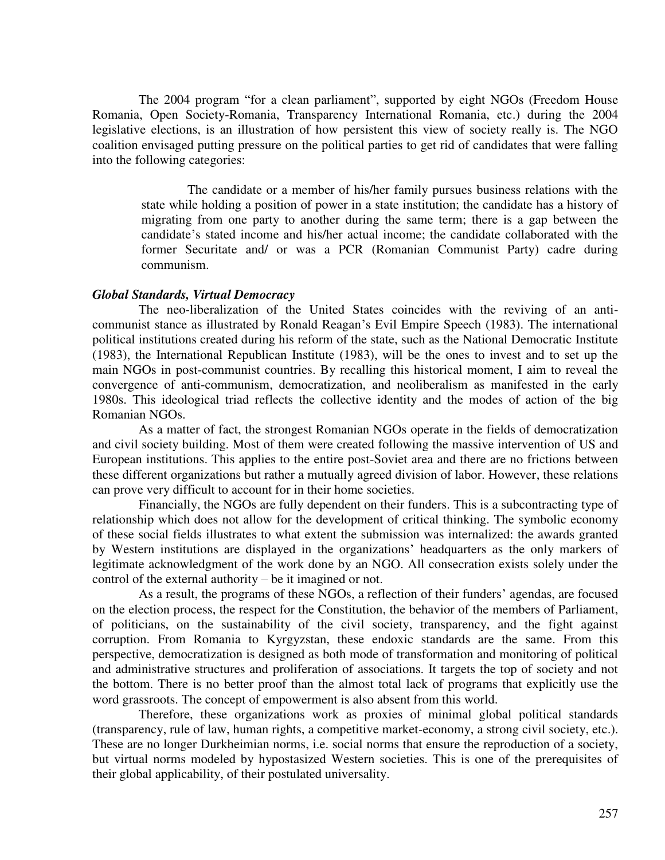The 2004 program "for a clean parliament", supported by eight NGOs (Freedom House Romania, Open Society-Romania, Transparency International Romania, etc.) during the 2004 legislative elections, is an illustration of how persistent this view of society really is. The NGO coalition envisaged putting pressure on the political parties to get rid of candidates that were falling into the following categories:

The candidate or a member of his/her family pursues business relations with the state while holding a position of power in a state institution; the candidate has a history of migrating from one party to another during the same term; there is a gap between the candidate's stated income and his/her actual income; the candidate collaborated with the former Securitate and/ or was a PCR (Romanian Communist Party) cadre during communism.

#### *Global Standards, Virtual Democracy*

The neo-liberalization of the United States coincides with the reviving of an anticommunist stance as illustrated by Ronald Reagan's Evil Empire Speech (1983). The international political institutions created during his reform of the state, such as the National Democratic Institute (1983), the International Republican Institute (1983), will be the ones to invest and to set up the main NGOs in post-communist countries. By recalling this historical moment, I aim to reveal the convergence of anti-communism, democratization, and neoliberalism as manifested in the early 1980s. This ideological triad reflects the collective identity and the modes of action of the big Romanian NGOs.

As a matter of fact, the strongest Romanian NGOs operate in the fields of democratization and civil society building. Most of them were created following the massive intervention of US and European institutions. This applies to the entire post-Soviet area and there are no frictions between these different organizations but rather a mutually agreed division of labor. However, these relations can prove very difficult to account for in their home societies.

Financially, the NGOs are fully dependent on their funders. This is a subcontracting type of relationship which does not allow for the development of critical thinking. The symbolic economy of these social fields illustrates to what extent the submission was internalized: the awards granted by Western institutions are displayed in the organizations' headquarters as the only markers of legitimate acknowledgment of the work done by an NGO. All consecration exists solely under the control of the external authority – be it imagined or not.

As a result, the programs of these NGOs, a reflection of their funders' agendas, are focused on the election process, the respect for the Constitution, the behavior of the members of Parliament, of politicians, on the sustainability of the civil society, transparency, and the fight against corruption. From Romania to Kyrgyzstan, these endoxic standards are the same. From this perspective, democratization is designed as both mode of transformation and monitoring of political and administrative structures and proliferation of associations. It targets the top of society and not the bottom. There is no better proof than the almost total lack of programs that explicitly use the word grassroots. The concept of empowerment is also absent from this world.

Therefore, these organizations work as proxies of minimal global political standards (transparency, rule of law, human rights, a competitive market-economy, a strong civil society, etc.). These are no longer Durkheimian norms, i.e. social norms that ensure the reproduction of a society, but virtual norms modeled by hypostasized Western societies. This is one of the prerequisites of their global applicability, of their postulated universality.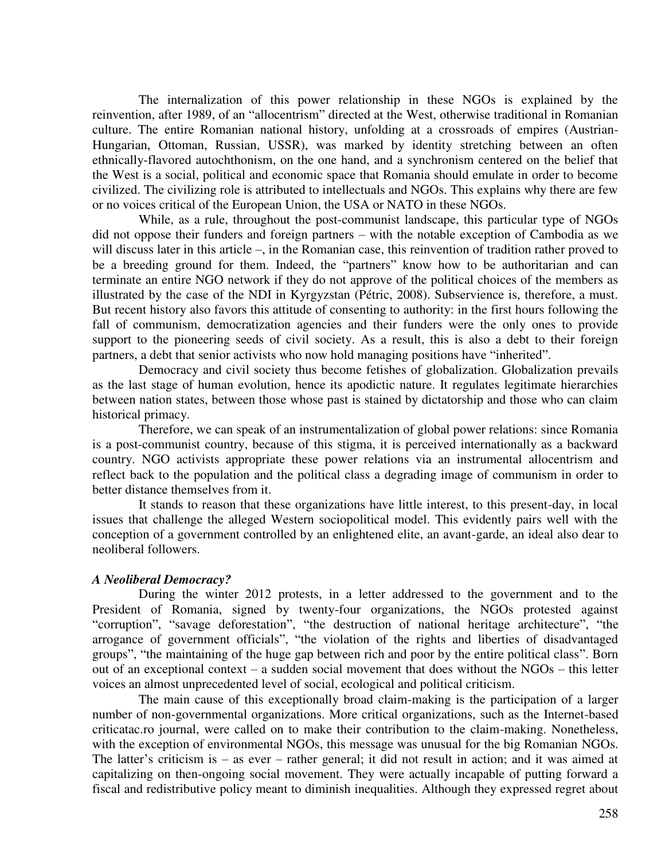The internalization of this power relationship in these NGOs is explained by the reinvention, after 1989, of an "allocentrism" directed at the West, otherwise traditional in Romanian culture. The entire Romanian national history, unfolding at a crossroads of empires (Austrian-Hungarian, Ottoman, Russian, USSR), was marked by identity stretching between an often ethnically-flavored autochthonism, on the one hand, and a synchronism centered on the belief that the West is a social, political and economic space that Romania should emulate in order to become civilized. The civilizing role is attributed to intellectuals and NGOs. This explains why there are few or no voices critical of the European Union, the USA or NATO in these NGOs.

While, as a rule, throughout the post-communist landscape, this particular type of NGOs did not oppose their funders and foreign partners – with the notable exception of Cambodia as we will discuss later in this article –, in the Romanian case, this reinvention of tradition rather proved to be a breeding ground for them. Indeed, the "partners" know how to be authoritarian and can terminate an entire NGO network if they do not approve of the political choices of the members as illustrated by the case of the NDI in Kyrgyzstan (Pétric, 2008). Subservience is, therefore, a must. But recent history also favors this attitude of consenting to authority: in the first hours following the fall of communism, democratization agencies and their funders were the only ones to provide support to the pioneering seeds of civil society. As a result, this is also a debt to their foreign partners, a debt that senior activists who now hold managing positions have "inherited".

Democracy and civil society thus become fetishes of globalization. Globalization prevails as the last stage of human evolution, hence its apodictic nature. It regulates legitimate hierarchies between nation states, between those whose past is stained by dictatorship and those who can claim historical primacy.

Therefore, we can speak of an instrumentalization of global power relations: since Romania is a post-communist country, because of this stigma, it is perceived internationally as a backward country. NGO activists appropriate these power relations via an instrumental allocentrism and reflect back to the population and the political class a degrading image of communism in order to better distance themselves from it.

It stands to reason that these organizations have little interest, to this present-day, in local issues that challenge the alleged Western sociopolitical model. This evidently pairs well with the conception of a government controlled by an enlightened elite, an avant-garde, an ideal also dear to neoliberal followers.

## *A Neoliberal Democracy?*

During the winter 2012 protests, in a letter addressed to the government and to the President of Romania, signed by twenty-four organizations, the NGOs protested against "corruption", "savage deforestation", "the destruction of national heritage architecture", "the arrogance of government officials", "the violation of the rights and liberties of disadvantaged groups", "the maintaining of the huge gap between rich and poor by the entire political class". Born out of an exceptional context – a sudden social movement that does without the NGOs – this letter voices an almost unprecedented level of social, ecological and political criticism.

The main cause of this exceptionally broad claim-making is the participation of a larger number of non-governmental organizations. More critical organizations, such as the Internet-based criticatac.ro journal, were called on to make their contribution to the claim-making. Nonetheless, with the exception of environmental NGOs, this message was unusual for the big Romanian NGOs. The latter's criticism is – as ever – rather general; it did not result in action; and it was aimed at capitalizing on then-ongoing social movement. They were actually incapable of putting forward a fiscal and redistributive policy meant to diminish inequalities. Although they expressed regret about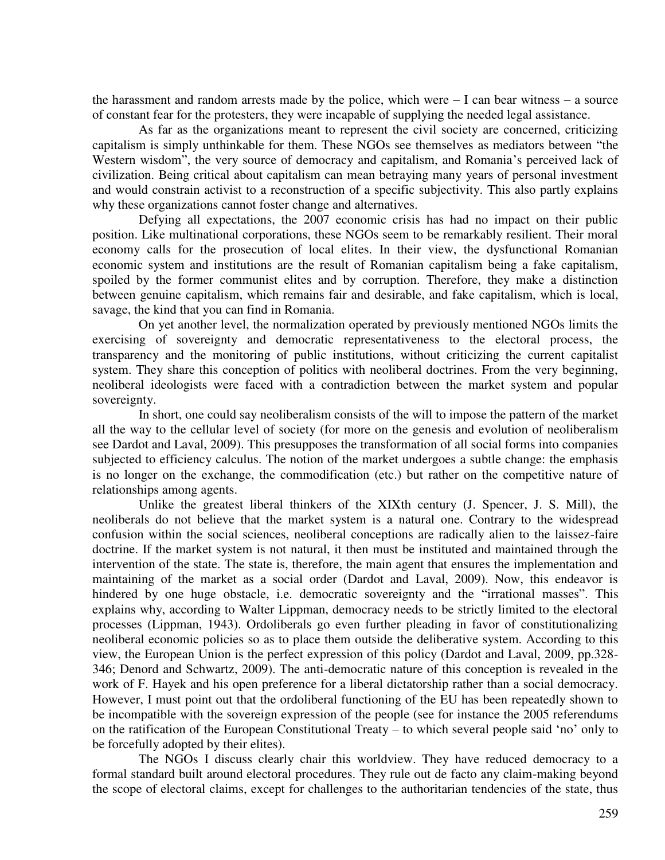the harassment and random arrests made by the police, which were  $-1$  can bear witness  $-$  a source of constant fear for the protesters, they were incapable of supplying the needed legal assistance.

As far as the organizations meant to represent the civil society are concerned, criticizing capitalism is simply unthinkable for them. These NGOs see themselves as mediators between "the Western wisdom", the very source of democracy and capitalism, and Romania's perceived lack of civilization. Being critical about capitalism can mean betraying many years of personal investment and would constrain activist to a reconstruction of a specific subjectivity. This also partly explains why these organizations cannot foster change and alternatives.

Defying all expectations, the 2007 economic crisis has had no impact on their public position. Like multinational corporations, these NGOs seem to be remarkably resilient. Their moral economy calls for the prosecution of local elites. In their view, the dysfunctional Romanian economic system and institutions are the result of Romanian capitalism being a fake capitalism, spoiled by the former communist elites and by corruption. Therefore, they make a distinction between genuine capitalism, which remains fair and desirable, and fake capitalism, which is local, savage, the kind that you can find in Romania.

On yet another level, the normalization operated by previously mentioned NGOs limits the exercising of sovereignty and democratic representativeness to the electoral process, the transparency and the monitoring of public institutions, without criticizing the current capitalist system. They share this conception of politics with neoliberal doctrines. From the very beginning, neoliberal ideologists were faced with a contradiction between the market system and popular sovereignty.

In short, one could say neoliberalism consists of the will to impose the pattern of the market all the way to the cellular level of society (for more on the genesis and evolution of neoliberalism see Dardot and Laval, 2009). This presupposes the transformation of all social forms into companies subjected to efficiency calculus. The notion of the market undergoes a subtle change: the emphasis is no longer on the exchange, the commodification (etc.) but rather on the competitive nature of relationships among agents.

Unlike the greatest liberal thinkers of the XIXth century (J. Spencer, J. S. Mill), the neoliberals do not believe that the market system is a natural one. Contrary to the widespread confusion within the social sciences, neoliberal conceptions are radically alien to the laissez-faire doctrine. If the market system is not natural, it then must be instituted and maintained through the intervention of the state. The state is, therefore, the main agent that ensures the implementation and maintaining of the market as a social order (Dardot and Laval, 2009). Now, this endeavor is hindered by one huge obstacle, i.e. democratic sovereignty and the "irrational masses". This explains why, according to Walter Lippman, democracy needs to be strictly limited to the electoral processes (Lippman, 1943). Ordoliberals go even further pleading in favor of constitutionalizing neoliberal economic policies so as to place them outside the deliberative system. According to this view, the European Union is the perfect expression of this policy (Dardot and Laval, 2009, pp.328- 346; Denord and Schwartz, 2009). The anti-democratic nature of this conception is revealed in the work of F. Hayek and his open preference for a liberal dictatorship rather than a social democracy. However, I must point out that the ordoliberal functioning of the EU has been repeatedly shown to be incompatible with the sovereign expression of the people (see for instance the 2005 referendums on the ratification of the European Constitutional Treaty – to which several people said 'no' only to be forcefully adopted by their elites).

The NGOs I discuss clearly chair this worldview. They have reduced democracy to a formal standard built around electoral procedures. They rule out de facto any claim-making beyond the scope of electoral claims, except for challenges to the authoritarian tendencies of the state, thus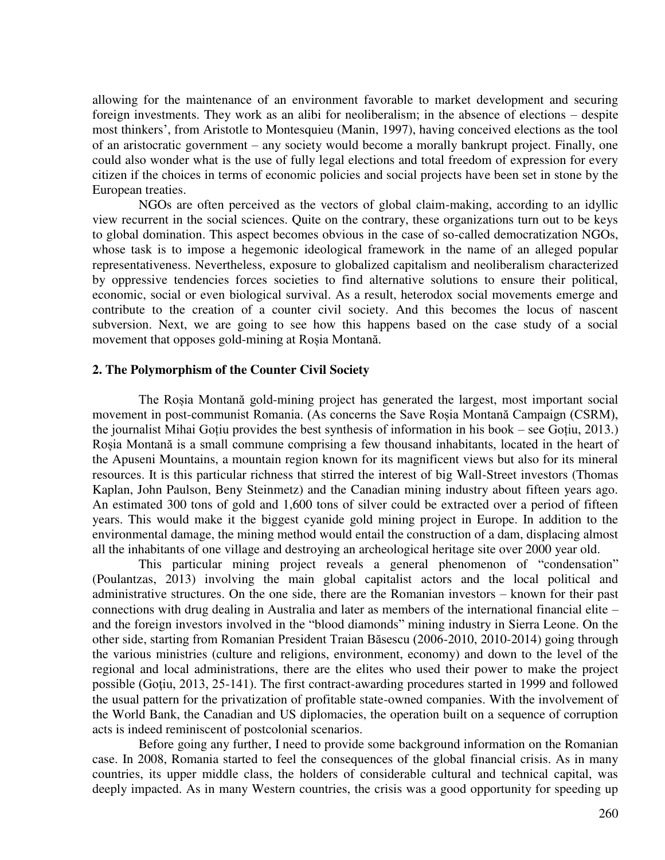allowing for the maintenance of an environment favorable to market development and securing foreign investments. They work as an alibi for neoliberalism; in the absence of elections – despite most thinkers', from Aristotle to Montesquieu (Manin, 1997), having conceived elections as the tool of an aristocratic government – any society would become a morally bankrupt project. Finally, one could also wonder what is the use of fully legal elections and total freedom of expression for every citizen if the choices in terms of economic policies and social projects have been set in stone by the European treaties.

NGOs are often perceived as the vectors of global claim-making, according to an idyllic view recurrent in the social sciences. Quite on the contrary, these organizations turn out to be keys to global domination. This aspect becomes obvious in the case of so-called democratization NGOs, whose task is to impose a hegemonic ideological framework in the name of an alleged popular representativeness. Nevertheless, exposure to globalized capitalism and neoliberalism characterized by oppressive tendencies forces societies to find alternative solutions to ensure their political, economic, social or even biological survival. As a result, heterodox social movements emerge and contribute to the creation of a counter civil society. And this becomes the locus of nascent subversion. Next, we are going to see how this happens based on the case study of a social movement that opposes gold-mining at Roșia Montană.

### **2. The Polymorphism of the Counter Civil Society**

The Roșia Montană gold-mining project has generated the largest, most important social movement in post-communist Romania. (As concerns the Save Roșia Montană Campaign (CSRM), the journalist Mihai Goțiu provides the best synthesis of information in his book – see Goțiu, 2013.) Roșia Montană is a small commune comprising a few thousand inhabitants, located in the heart of the Apuseni Mountains, a mountain region known for its magnificent views but also for its mineral resources. It is this particular richness that stirred the interest of big Wall-Street investors (Thomas Kaplan, John Paulson, Beny Steinmetz) and the Canadian mining industry about fifteen years ago. An estimated 300 tons of gold and 1,600 tons of silver could be extracted over a period of fifteen years. This would make it the biggest cyanide gold mining project in Europe. In addition to the environmental damage, the mining method would entail the construction of a dam, displacing almost all the inhabitants of one village and destroying an archeological heritage site over 2000 year old.

This particular mining project reveals a general phenomenon of "condensation" (Poulantzas, 2013) involving the main global capitalist actors and the local political and administrative structures. On the one side, there are the Romanian investors – known for their past connections with drug dealing in Australia and later as members of the international financial elite – and the foreign investors involved in the "blood diamonds" mining industry in Sierra Leone. On the other side, starting from Romanian President Traian Băsescu (2006-2010, 2010-2014) going through the various ministries (culture and religions, environment, economy) and down to the level of the regional and local administrations, there are the elites who used their power to make the project possible (Goţiu, 2013, 25-141). The first contract-awarding procedures started in 1999 and followed the usual pattern for the privatization of profitable state-owned companies. With the involvement of the World Bank, the Canadian and US diplomacies, the operation built on a sequence of corruption acts is indeed reminiscent of postcolonial scenarios.

Before going any further, I need to provide some background information on the Romanian case. In 2008, Romania started to feel the consequences of the global financial crisis. As in many countries, its upper middle class, the holders of considerable cultural and technical capital, was deeply impacted. As in many Western countries, the crisis was a good opportunity for speeding up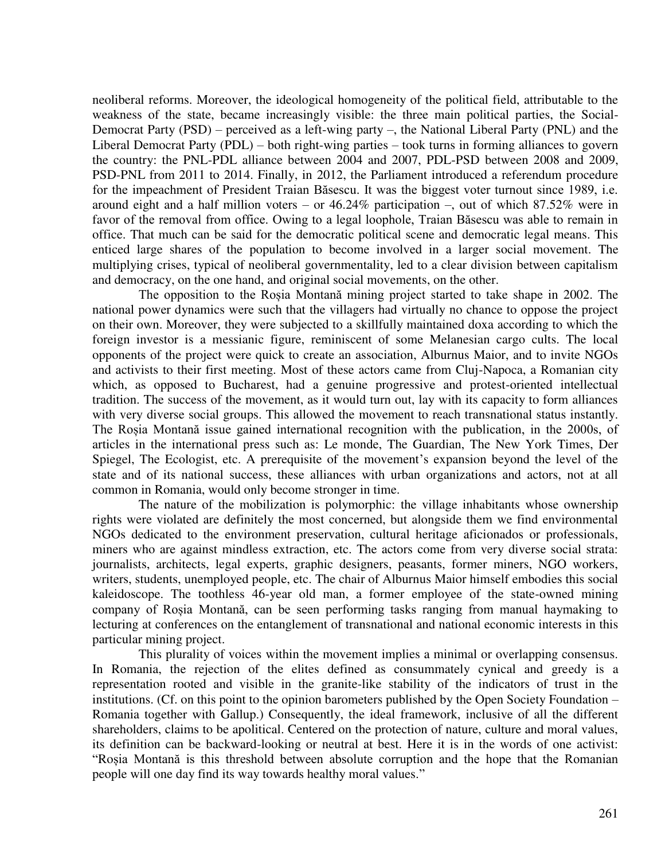neoliberal reforms. Moreover, the ideological homogeneity of the political field, attributable to the weakness of the state, became increasingly visible: the three main political parties, the Social-Democrat Party (PSD) – perceived as a left-wing party –, the National Liberal Party (PNL) and the Liberal Democrat Party (PDL) – both right-wing parties – took turns in forming alliances to govern the country: the PNL-PDL alliance between 2004 and 2007, PDL-PSD between 2008 and 2009, PSD-PNL from 2011 to 2014. Finally, in 2012, the Parliament introduced a referendum procedure for the impeachment of President Traian Băsescu. It was the biggest voter turnout since 1989, i.e. around eight and a half million voters – or 46.24% participation –, out of which 87.52% were in favor of the removal from office. Owing to a legal loophole, Traian Băsescu was able to remain in office. That much can be said for the democratic political scene and democratic legal means. This enticed large shares of the population to become involved in a larger social movement. The multiplying crises, typical of neoliberal governmentality, led to a clear division between capitalism and democracy, on the one hand, and original social movements, on the other.

The opposition to the Roșia Montană mining project started to take shape in 2002. The national power dynamics were such that the villagers had virtually no chance to oppose the project on their own. Moreover, they were subjected to a skillfully maintained doxa according to which the foreign investor is a messianic figure, reminiscent of some Melanesian cargo cults. The local opponents of the project were quick to create an association, Alburnus Maior, and to invite NGOs and activists to their first meeting. Most of these actors came from Cluj-Napoca, a Romanian city which, as opposed to Bucharest, had a genuine progressive and protest-oriented intellectual tradition. The success of the movement, as it would turn out, lay with its capacity to form alliances with very diverse social groups. This allowed the movement to reach transnational status instantly. The Roșia Montană issue gained international recognition with the publication, in the 2000s, of articles in the international press such as: Le monde, The Guardian, The New York Times, Der Spiegel, The Ecologist, etc. A prerequisite of the movement's expansion beyond the level of the state and of its national success, these alliances with urban organizations and actors, not at all common in Romania, would only become stronger in time.

The nature of the mobilization is polymorphic: the village inhabitants whose ownership rights were violated are definitely the most concerned, but alongside them we find environmental NGOs dedicated to the environment preservation, cultural heritage aficionados or professionals, miners who are against mindless extraction, etc. The actors come from very diverse social strata: journalists, architects, legal experts, graphic designers, peasants, former miners, NGO workers, writers, students, unemployed people, etc. The chair of Alburnus Maior himself embodies this social kaleidoscope. The toothless 46-year old man, a former employee of the state-owned mining company of Roșia Montană, can be seen performing tasks ranging from manual haymaking to lecturing at conferences on the entanglement of transnational and national economic interests in this particular mining project.

This plurality of voices within the movement implies a minimal or overlapping consensus. In Romania, the rejection of the elites defined as consummately cynical and greedy is a representation rooted and visible in the granite-like stability of the indicators of trust in the institutions. (Cf. on this point to the opinion barometers published by the Open Society Foundation – Romania together with Gallup.) Consequently, the ideal framework, inclusive of all the different shareholders, claims to be apolitical. Centered on the protection of nature, culture and moral values, its definition can be backward-looking or neutral at best. Here it is in the words of one activist: "Roșia Montană is this threshold between absolute corruption and the hope that the Romanian people will one day find its way towards healthy moral values."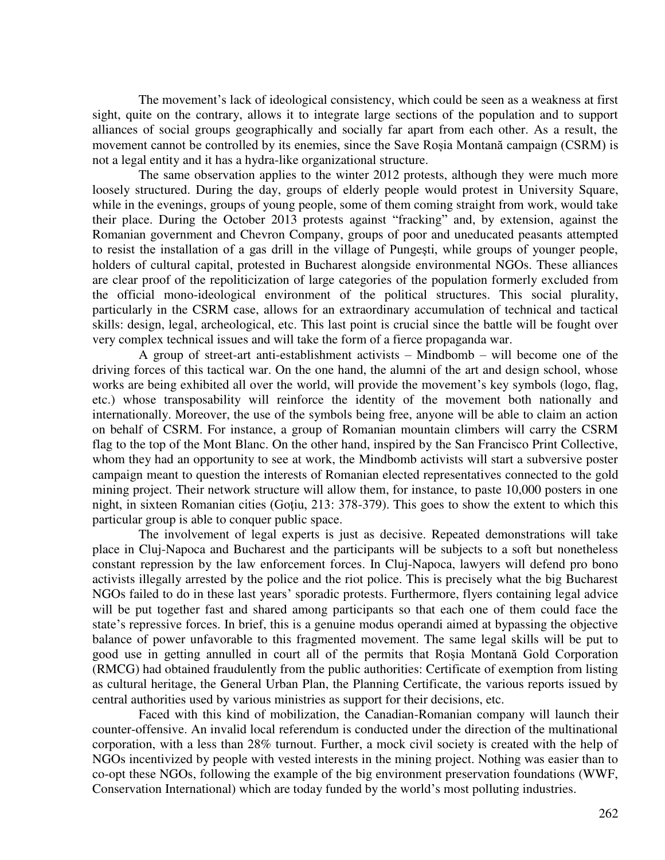The movement's lack of ideological consistency, which could be seen as a weakness at first sight, quite on the contrary, allows it to integrate large sections of the population and to support alliances of social groups geographically and socially far apart from each other. As a result, the movement cannot be controlled by its enemies, since the Save Roșia Montană campaign (CSRM) is not a legal entity and it has a hydra-like organizational structure.

The same observation applies to the winter 2012 protests, although they were much more loosely structured. During the day, groups of elderly people would protest in University Square, while in the evenings, groups of young people, some of them coming straight from work, would take their place. During the October 2013 protests against "fracking" and, by extension, against the Romanian government and Chevron Company, groups of poor and uneducated peasants attempted to resist the installation of a gas drill in the village of Pungeşti, while groups of younger people, holders of cultural capital, protested in Bucharest alongside environmental NGOs. These alliances are clear proof of the repoliticization of large categories of the population formerly excluded from the official mono-ideological environment of the political structures. This social plurality, particularly in the CSRM case, allows for an extraordinary accumulation of technical and tactical skills: design, legal, archeological, etc. This last point is crucial since the battle will be fought over very complex technical issues and will take the form of a fierce propaganda war.

A group of street-art anti-establishment activists – Mindbomb – will become one of the driving forces of this tactical war. On the one hand, the alumni of the art and design school, whose works are being exhibited all over the world, will provide the movement's key symbols (logo, flag, etc.) whose transposability will reinforce the identity of the movement both nationally and internationally. Moreover, the use of the symbols being free, anyone will be able to claim an action on behalf of CSRM. For instance, a group of Romanian mountain climbers will carry the CSRM flag to the top of the Mont Blanc. On the other hand, inspired by the San Francisco Print Collective, whom they had an opportunity to see at work, the Mindbomb activists will start a subversive poster campaign meant to question the interests of Romanian elected representatives connected to the gold mining project. Their network structure will allow them, for instance, to paste 10,000 posters in one night, in sixteen Romanian cities (Goţiu, 213: 378-379). This goes to show the extent to which this particular group is able to conquer public space.

The involvement of legal experts is just as decisive. Repeated demonstrations will take place in Cluj-Napoca and Bucharest and the participants will be subjects to a soft but nonetheless constant repression by the law enforcement forces. In Cluj-Napoca, lawyers will defend pro bono activists illegally arrested by the police and the riot police. This is precisely what the big Bucharest NGOs failed to do in these last years' sporadic protests. Furthermore, flyers containing legal advice will be put together fast and shared among participants so that each one of them could face the state's repressive forces. In brief, this is a genuine modus operandi aimed at bypassing the objective balance of power unfavorable to this fragmented movement. The same legal skills will be put to good use in getting annulled in court all of the permits that Roșia Montană Gold Corporation (RMCG) had obtained fraudulently from the public authorities: Certificate of exemption from listing as cultural heritage, the General Urban Plan, the Planning Certificate, the various reports issued by central authorities used by various ministries as support for their decisions, etc.

Faced with this kind of mobilization, the Canadian-Romanian company will launch their counter-offensive. An invalid local referendum is conducted under the direction of the multinational corporation, with a less than 28% turnout. Further, a mock civil society is created with the help of NGOs incentivized by people with vested interests in the mining project. Nothing was easier than to co-opt these NGOs, following the example of the big environment preservation foundations (WWF, Conservation International) which are today funded by the world's most polluting industries.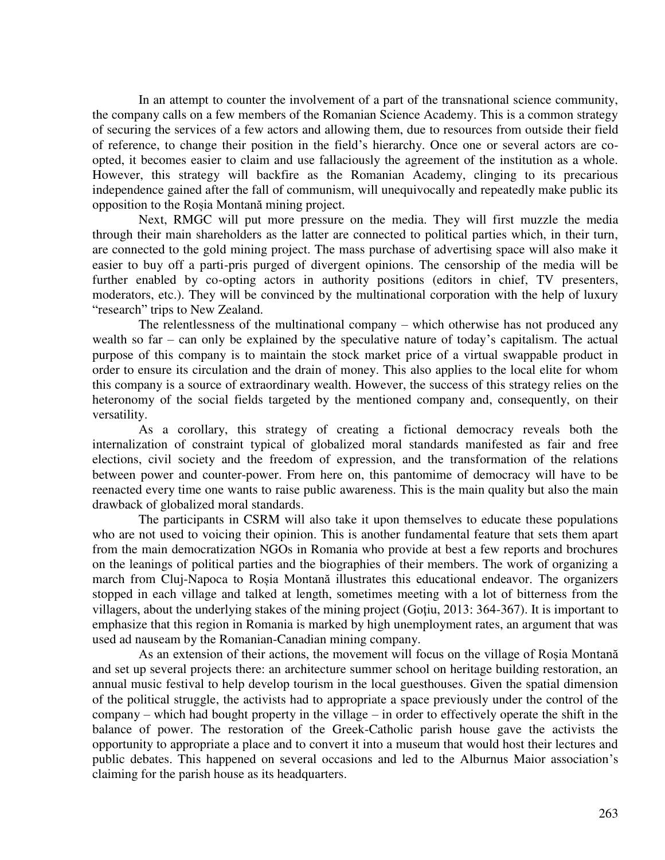In an attempt to counter the involvement of a part of the transnational science community, the company calls on a few members of the Romanian Science Academy. This is a common strategy of securing the services of a few actors and allowing them, due to resources from outside their field of reference, to change their position in the field's hierarchy. Once one or several actors are coopted, it becomes easier to claim and use fallaciously the agreement of the institution as a whole. However, this strategy will backfire as the Romanian Academy, clinging to its precarious independence gained after the fall of communism, will unequivocally and repeatedly make public its opposition to the Roșia Montană mining project.

Next, RMGC will put more pressure on the media. They will first muzzle the media through their main shareholders as the latter are connected to political parties which, in their turn, are connected to the gold mining project. The mass purchase of advertising space will also make it easier to buy off a parti-pris purged of divergent opinions. The censorship of the media will be further enabled by co-opting actors in authority positions (editors in chief, TV presenters, moderators, etc.). They will be convinced by the multinational corporation with the help of luxury "research" trips to New Zealand.

The relentlessness of the multinational company – which otherwise has not produced any wealth so far – can only be explained by the speculative nature of today's capitalism. The actual purpose of this company is to maintain the stock market price of a virtual swappable product in order to ensure its circulation and the drain of money. This also applies to the local elite for whom this company is a source of extraordinary wealth. However, the success of this strategy relies on the heteronomy of the social fields targeted by the mentioned company and, consequently, on their versatility.

As a corollary, this strategy of creating a fictional democracy reveals both the internalization of constraint typical of globalized moral standards manifested as fair and free elections, civil society and the freedom of expression, and the transformation of the relations between power and counter-power. From here on, this pantomime of democracy will have to be reenacted every time one wants to raise public awareness. This is the main quality but also the main drawback of globalized moral standards.

The participants in CSRM will also take it upon themselves to educate these populations who are not used to voicing their opinion. This is another fundamental feature that sets them apart from the main democratization NGOs in Romania who provide at best a few reports and brochures on the leanings of political parties and the biographies of their members. The work of organizing a march from Cluj-Napoca to Roșia Montană illustrates this educational endeavor. The organizers stopped in each village and talked at length, sometimes meeting with a lot of bitterness from the villagers, about the underlying stakes of the mining project (Goţiu, 2013: 364-367). It is important to emphasize that this region in Romania is marked by high unemployment rates, an argument that was used ad nauseam by the Romanian-Canadian mining company.

As an extension of their actions, the movement will focus on the village of Roșia Montană and set up several projects there: an architecture summer school on heritage building restoration, an annual music festival to help develop tourism in the local guesthouses. Given the spatial dimension of the political struggle, the activists had to appropriate a space previously under the control of the company – which had bought property in the village – in order to effectively operate the shift in the balance of power. The restoration of the Greek-Catholic parish house gave the activists the opportunity to appropriate a place and to convert it into a museum that would host their lectures and public debates. This happened on several occasions and led to the Alburnus Maior association's claiming for the parish house as its headquarters.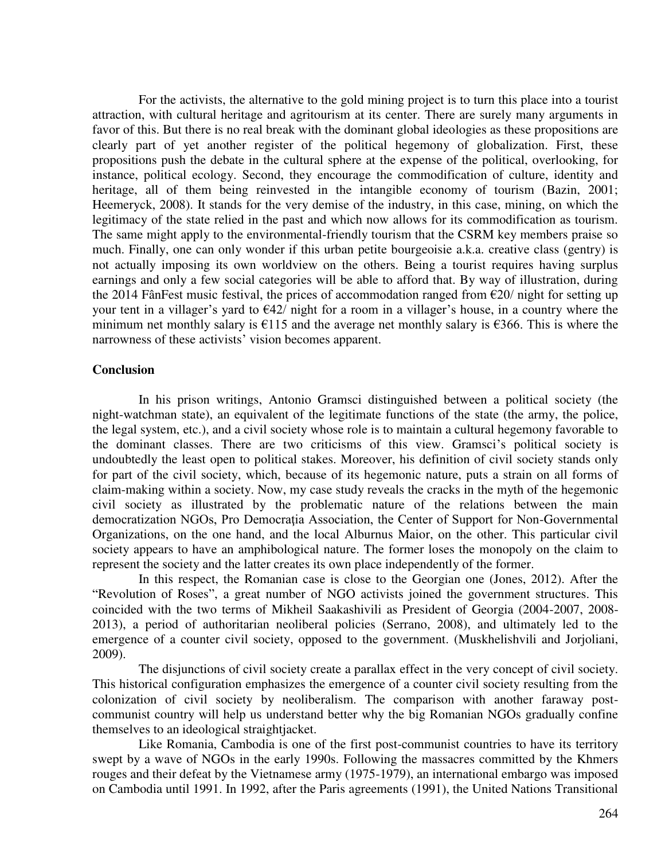For the activists, the alternative to the gold mining project is to turn this place into a tourist attraction, with cultural heritage and agritourism at its center. There are surely many arguments in favor of this. But there is no real break with the dominant global ideologies as these propositions are clearly part of yet another register of the political hegemony of globalization. First, these propositions push the debate in the cultural sphere at the expense of the political, overlooking, for instance, political ecology. Second, they encourage the commodification of culture, identity and heritage, all of them being reinvested in the intangible economy of tourism (Bazin, 2001; Heemeryck, 2008). It stands for the very demise of the industry, in this case, mining, on which the legitimacy of the state relied in the past and which now allows for its commodification as tourism. The same might apply to the environmental-friendly tourism that the CSRM key members praise so much. Finally, one can only wonder if this urban petite bourgeoisie a.k.a. creative class (gentry) is not actually imposing its own worldview on the others. Being a tourist requires having surplus earnings and only a few social categories will be able to afford that. By way of illustration, during the 2014 FânFest music festival, the prices of accommodation ranged from  $\epsilon$ 20/ night for setting up your tent in a villager's yard to  $\epsilon$ 42/ night for a room in a villager's house, in a country where the minimum net monthly salary is  $\epsilon$ 115 and the average net monthly salary is  $\epsilon$ 366. This is where the narrowness of these activists' vision becomes apparent.

### **Conclusion**

In his prison writings, Antonio Gramsci distinguished between a political society (the night-watchman state), an equivalent of the legitimate functions of the state (the army, the police, the legal system, etc.), and a civil society whose role is to maintain a cultural hegemony favorable to the dominant classes. There are two criticisms of this view. Gramsci's political society is undoubtedly the least open to political stakes. Moreover, his definition of civil society stands only for part of the civil society, which, because of its hegemonic nature, puts a strain on all forms of claim-making within a society. Now, my case study reveals the cracks in the myth of the hegemonic civil society as illustrated by the problematic nature of the relations between the main democratization NGOs, Pro Democraţia Association, the Center of Support for Non-Governmental Organizations, on the one hand, and the local Alburnus Maior, on the other. This particular civil society appears to have an amphibological nature. The former loses the monopoly on the claim to represent the society and the latter creates its own place independently of the former.

In this respect, the Romanian case is close to the Georgian one (Jones, 2012). After the "Revolution of Roses", a great number of NGO activists joined the government structures. This coincided with the two terms of Mikheil Saakashivili as President of Georgia (2004-2007, 2008- 2013), a period of authoritarian neoliberal policies (Serrano, 2008), and ultimately led to the emergence of a counter civil society, opposed to the government. (Muskhelishvili and Jorjoliani, 2009).

The disjunctions of civil society create a parallax effect in the very concept of civil society. This historical configuration emphasizes the emergence of a counter civil society resulting from the colonization of civil society by neoliberalism. The comparison with another faraway postcommunist country will help us understand better why the big Romanian NGOs gradually confine themselves to an ideological straightjacket.

Like Romania, Cambodia is one of the first post-communist countries to have its territory swept by a wave of NGOs in the early 1990s. Following the massacres committed by the Khmers rouges and their defeat by the Vietnamese army (1975-1979), an international embargo was imposed on Cambodia until 1991. In 1992, after the Paris agreements (1991), the United Nations Transitional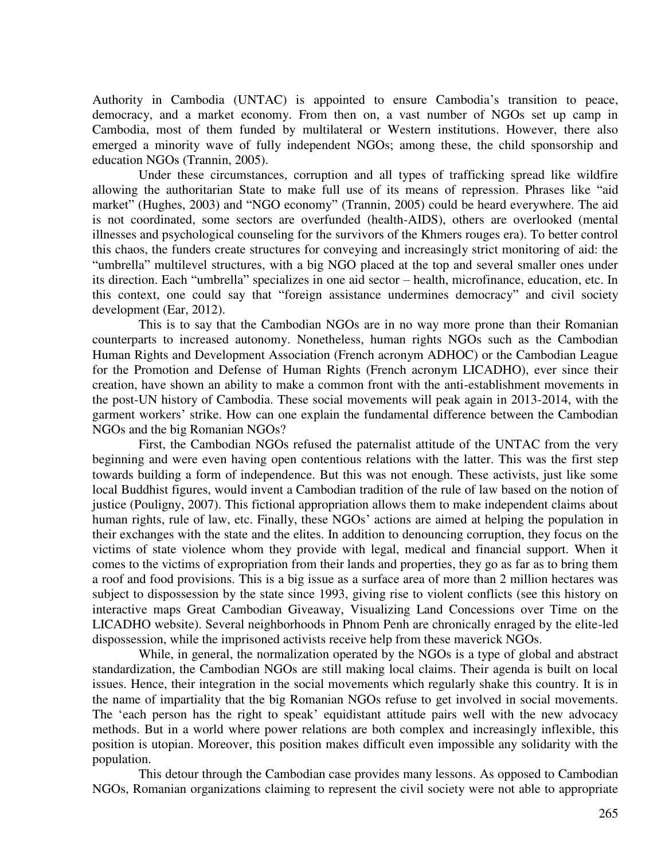Authority in Cambodia (UNTAC) is appointed to ensure Cambodia's transition to peace, democracy, and a market economy. From then on, a vast number of NGOs set up camp in Cambodia, most of them funded by multilateral or Western institutions. However, there also emerged a minority wave of fully independent NGOs; among these, the child sponsorship and education NGOs (Trannin, 2005).

Under these circumstances, corruption and all types of trafficking spread like wildfire allowing the authoritarian State to make full use of its means of repression. Phrases like "aid market" (Hughes, 2003) and "NGO economy" (Trannin, 2005) could be heard everywhere. The aid is not coordinated, some sectors are overfunded (health-AIDS), others are overlooked (mental illnesses and psychological counseling for the survivors of the Khmers rouges era). To better control this chaos, the funders create structures for conveying and increasingly strict monitoring of aid: the "umbrella" multilevel structures, with a big NGO placed at the top and several smaller ones under its direction. Each "umbrella" specializes in one aid sector – health, microfinance, education, etc. In this context, one could say that "foreign assistance undermines democracy" and civil society development (Ear, 2012).

This is to say that the Cambodian NGOs are in no way more prone than their Romanian counterparts to increased autonomy. Nonetheless, human rights NGOs such as the Cambodian Human Rights and Development Association (French acronym ADHOC) or the Cambodian League for the Promotion and Defense of Human Rights (French acronym LICADHO), ever since their creation, have shown an ability to make a common front with the anti-establishment movements in the post-UN history of Cambodia. These social movements will peak again in 2013-2014, with the garment workers' strike. How can one explain the fundamental difference between the Cambodian NGOs and the big Romanian NGOs?

First, the Cambodian NGOs refused the paternalist attitude of the UNTAC from the very beginning and were even having open contentious relations with the latter. This was the first step towards building a form of independence. But this was not enough. These activists, just like some local Buddhist figures, would invent a Cambodian tradition of the rule of law based on the notion of justice (Pouligny, 2007). This fictional appropriation allows them to make independent claims about human rights, rule of law, etc. Finally, these NGOs' actions are aimed at helping the population in their exchanges with the state and the elites. In addition to denouncing corruption, they focus on the victims of state violence whom they provide with legal, medical and financial support. When it comes to the victims of expropriation from their lands and properties, they go as far as to bring them a roof and food provisions. This is a big issue as a surface area of more than 2 million hectares was subject to dispossession by the state since 1993, giving rise to violent conflicts (see this history on interactive maps Great Cambodian Giveaway, Visualizing Land Concessions over Time on the LICADHO website). Several neighborhoods in Phnom Penh are chronically enraged by the elite-led dispossession, while the imprisoned activists receive help from these maverick NGOs.

While, in general, the normalization operated by the NGOs is a type of global and abstract standardization, the Cambodian NGOs are still making local claims. Their agenda is built on local issues. Hence, their integration in the social movements which regularly shake this country. It is in the name of impartiality that the big Romanian NGOs refuse to get involved in social movements. The 'each person has the right to speak' equidistant attitude pairs well with the new advocacy methods. But in a world where power relations are both complex and increasingly inflexible, this position is utopian. Moreover, this position makes difficult even impossible any solidarity with the population.

This detour through the Cambodian case provides many lessons. As opposed to Cambodian NGOs, Romanian organizations claiming to represent the civil society were not able to appropriate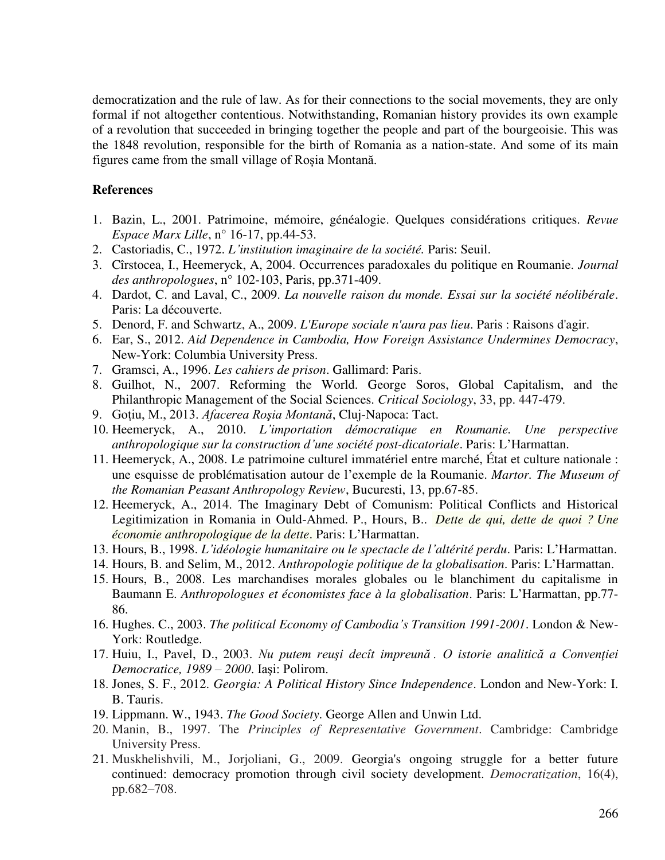democratization and the rule of law. As for their connections to the social movements, they are only formal if not altogether contentious. Notwithstanding, Romanian history provides its own example of a revolution that succeeded in bringing together the people and part of the bourgeoisie. This was the 1848 revolution, responsible for the birth of Romania as a nation-state. And some of its main figures came from the small village of Roșia Montană.

## **References**

- 1. Bazin, L., 2001. Patrimoine, mémoire, généalogie. Quelques considérations critiques. *Revue Espace Marx Lille*, n° 16-17, pp.44-53.
- 2. Castoriadis, C., 1972. *L'institution imaginaire de la société.* Paris: Seuil.
- 3. Cîrstocea, I., Heemeryck, A, 2004. Occurrences paradoxales du politique en Roumanie. *Journal des anthropologues*, n° 102-103, Paris, pp.371-409.
- 4. Dardot, C. and Laval, C., 2009. *La nouvelle raison du monde. Essai sur la société néolibérale*. Paris: La découverte.
- 5. Denord, F. and Schwartz, A., 2009. *L'Europe sociale n'aura pas lieu*. Paris : Raisons d'agir.
- 6. Ear, S., 2012. *Aid Dependence in Cambodia, How Foreign Assistance Undermines Democracy*, New-York: Columbia University Press.
- 7. Gramsci, A., 1996. *Les cahiers de prison*. Gallimard: Paris.
- 8. Guilhot, N., 2007. Reforming the World. George Soros, Global Capitalism, and the Philanthropic Management of the Social Sciences. *Critical Sociology*, 33, pp. 447-479.
- 9. Goṭiu, M., 2013. *Afacerea Roşia Montană*, Cluj-Napoca: Tact.
- 10. Heemeryck, A., 2010. *L'importation démocratique en Roumanie. Une perspective anthropologique sur la construction d'une société post-dicatoriale*. Paris: L'Harmattan.
- 11. Heemeryck, A., 2008. Le patrimoine culturel immatériel entre marché, État et culture nationale : une esquisse de problématisation autour de l'exemple de la Roumanie. *Martor. The Museum of the Romanian Peasant Anthropology Review*, Bucuresti, 13, pp.67-85.
- 12. Heemeryck, A., 2014. The Imaginary Debt of Comunism: Political Conflicts and Historical Legitimization in Romania in Ould-Ahmed. P., Hours, B.. *Dette de qui, dette de quoi ? Une économie anthropologique de la dette*. Paris: L'Harmattan.
- 13. Hours, B., 1998. *L'idéologie humanitaire ou le spectacle de l'altérité perdu*. Paris: L'Harmattan.
- 14. Hours, B. and Selim, M., 2012. *Anthropologie politique de la globalisation*. Paris: L'Harmattan.
- 15. Hours, B., 2008. Les marchandises morales globales ou le blanchiment du capitalisme in Baumann E. *Anthropologues et économistes face à la globalisation*. Paris: L'Harmattan, pp.77- 86.
- 16. Hughes. C., 2003. *The political Economy of Cambodia's Transition 1991-2001*. London & New-York: Routledge.
- 17. Huiu, I., Pavel, D., 2003. *Nu putem reuşi decît impreună . O istorie analitică a Convenţiei Democratice, 1989 – 2000*. Iaşi: Polirom.
- 18. Jones, S. F., 2012. *Georgia: A Political History Since Independence*. London and New-York: I. B. Tauris.
- 19. Lippmann. W., 1943. *The Good Society*. George Allen and Unwin Ltd.
- 20. Manin, B., 1997. The *Principles of Representative Government*. Cambridge: Cambridge University Press.
- 21. Muskhelishvili, M., Jorjoliani, G., 2009. Georgia's ongoing struggle for a better future continued: democracy promotion through civil society development. *Democratization*, 16(4), pp.682–708.